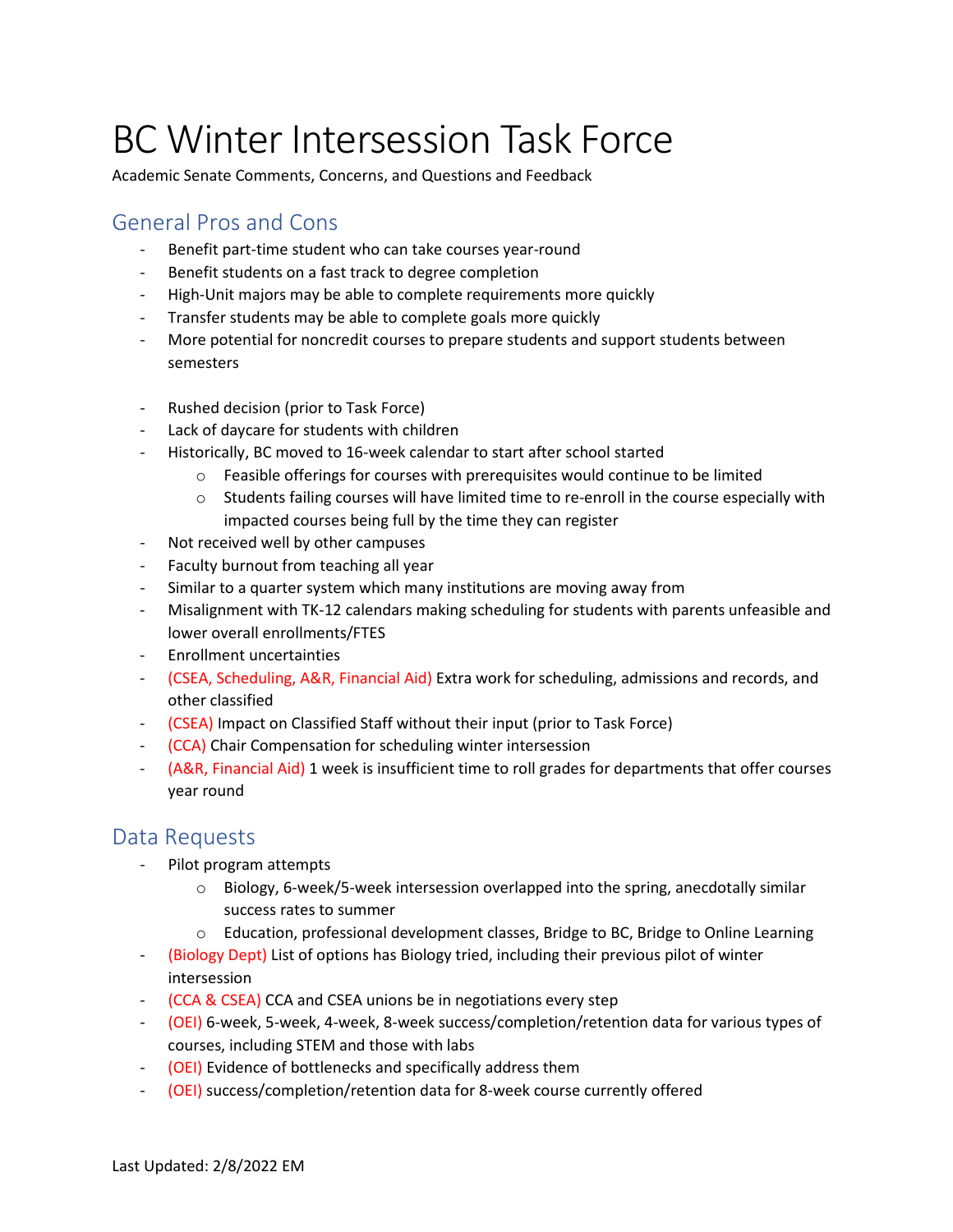# BC Winter Intersession Task Force

Academic Senate Comments, Concerns, and Questions and Feedback

### General Pros and Cons

- Benefit part-time student who can take courses year-round
- Benefit students on a fast track to degree completion
- High-Unit majors may be able to complete requirements more quickly
- Transfer students may be able to complete goals more quickly
- More potential for noncredit courses to prepare students and support students between semesters
- Rushed decision (prior to Task Force)
- Lack of daycare for students with children
- Historically, BC moved to 16-week calendar to start after school started
	- $\circ$  Feasible offerings for courses with prerequisites would continue to be limited
	- $\circ$  Students failing courses will have limited time to re-enroll in the course especially with impacted courses being full by the time they can register
- Not received well by other campuses
- Faculty burnout from teaching all year
- Similar to a quarter system which many institutions are moving away from
- Misalignment with TK-12 calendars making scheduling for students with parents unfeasible and lower overall enrollments/FTES
- Enrollment uncertainties
- (CSEA, Scheduling, A&R, Financial Aid) Extra work for scheduling, admissions and records, and other classified
- (CSEA) Impact on Classified Staff without their input (prior to Task Force)
- (CCA) Chair Compensation for scheduling winter intersession
- (A&R, Financial Aid) 1 week is insufficient time to roll grades for departments that offer courses year round

#### Data Requests

- Pilot program attempts
	- $\circ$  Biology, 6-week/5-week intersession overlapped into the spring, anecdotally similar success rates to summer
	- o Education, professional development classes, Bridge to BC, Bridge to Online Learning
- (Biology Dept) List of options has Biology tried, including their previous pilot of winter intersession
- (CCA & CSEA) CCA and CSEA unions be in negotiations every step
- (OEI) 6-week, 5-week, 4-week, 8-week success/completion/retention data for various types of courses, including STEM and those with labs
- (OEI) Evidence of bottlenecks and specifically address them
- (OEI) success/completion/retention data for 8-week course currently offered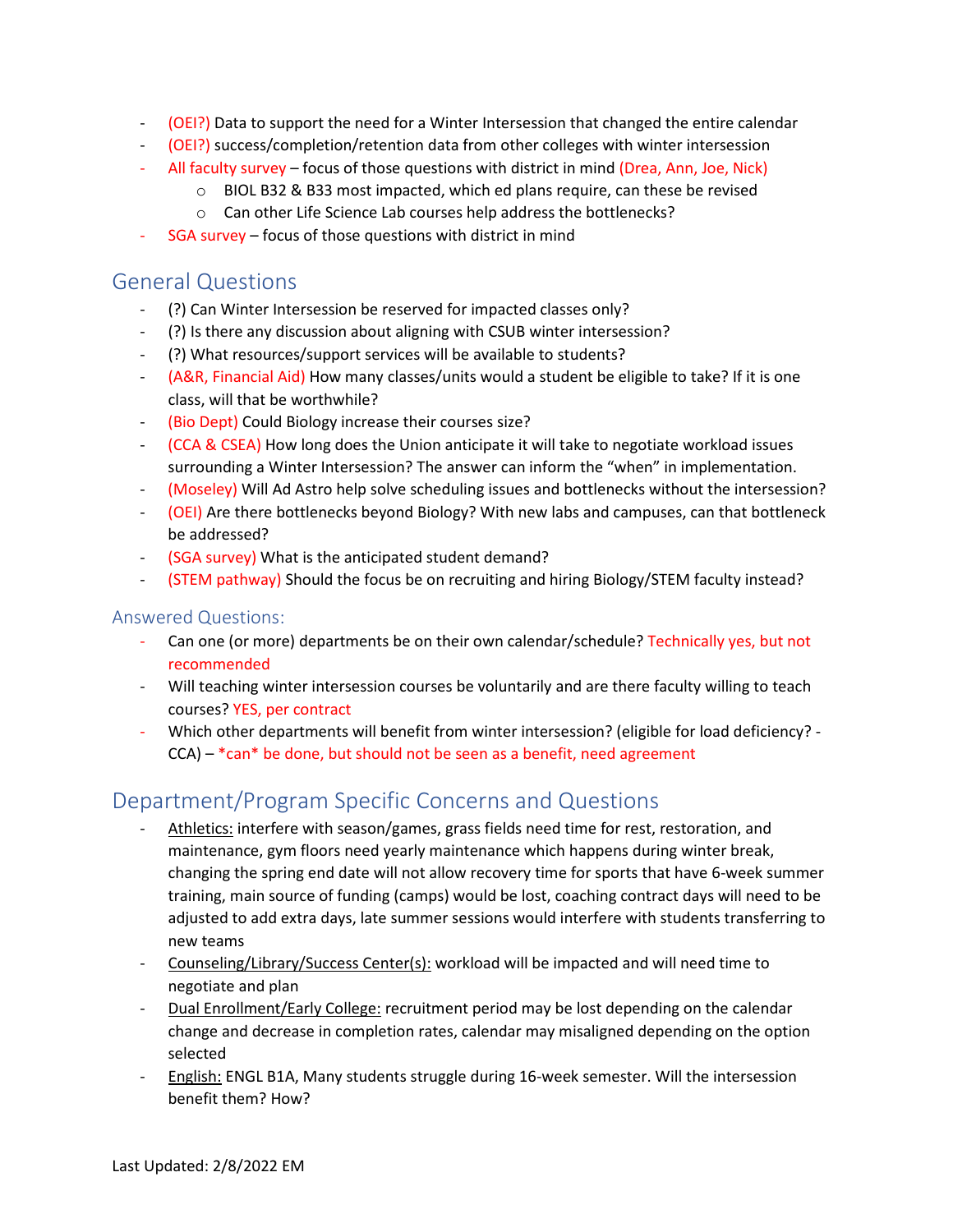- (OEI?) Data to support the need for a Winter Intersession that changed the entire calendar
- (OEI?) success/completion/retention data from other colleges with winter intersession
- All faculty survey focus of those questions with district in mind (Drea, Ann, Joe, Nick)
	- $\circ$  BIOL B32 & B33 most impacted, which ed plans require, can these be revised
	- o Can other Life Science Lab courses help address the bottlenecks?
- SGA survey focus of those questions with district in mind

#### General Questions

- (?) Can Winter Intersession be reserved for impacted classes only?
- (?) Is there any discussion about aligning with CSUB winter intersession?
- (?) What resources/support services will be available to students?
- (A&R, Financial Aid) How many classes/units would a student be eligible to take? If it is one class, will that be worthwhile?
- (Bio Dept) Could Biology increase their courses size?
- (CCA & CSEA) How long does the Union anticipate it will take to negotiate workload issues surrounding a Winter Intersession? The answer can inform the "when" in implementation.
- (Moseley) Will Ad Astro help solve scheduling issues and bottlenecks without the intersession?
- (OEI) Are there bottlenecks beyond Biology? With new labs and campuses, can that bottleneck be addressed?
- (SGA survey) What is the anticipated student demand?
- (STEM pathway) Should the focus be on recruiting and hiring Biology/STEM faculty instead?

#### Answered Questions:

- Can one (or more) departments be on their own calendar/schedule? Technically yes, but not recommended
- Will teaching winter intersession courses be voluntarily and are there faculty willing to teach courses? YES, per contract
- Which other departments will benefit from winter intersession? (eligible for load deficiency?  $CCA$ ) – \*can\* be done, but should not be seen as a benefit, need agreement

## Department/Program Specific Concerns and Questions

- Athletics: interfere with season/games, grass fields need time for rest, restoration, and maintenance, gym floors need yearly maintenance which happens during winter break, changing the spring end date will not allow recovery time for sports that have 6-week summer training, main source of funding (camps) would be lost, coaching contract days will need to be adjusted to add extra days, late summer sessions would interfere with students transferring to new teams
- Counseling/Library/Success Center(s): workload will be impacted and will need time to negotiate and plan
- Dual Enrollment/Early College: recruitment period may be lost depending on the calendar change and decrease in completion rates, calendar may misaligned depending on the option selected
- English: ENGL B1A, Many students struggle during 16-week semester. Will the intersession benefit them? How?